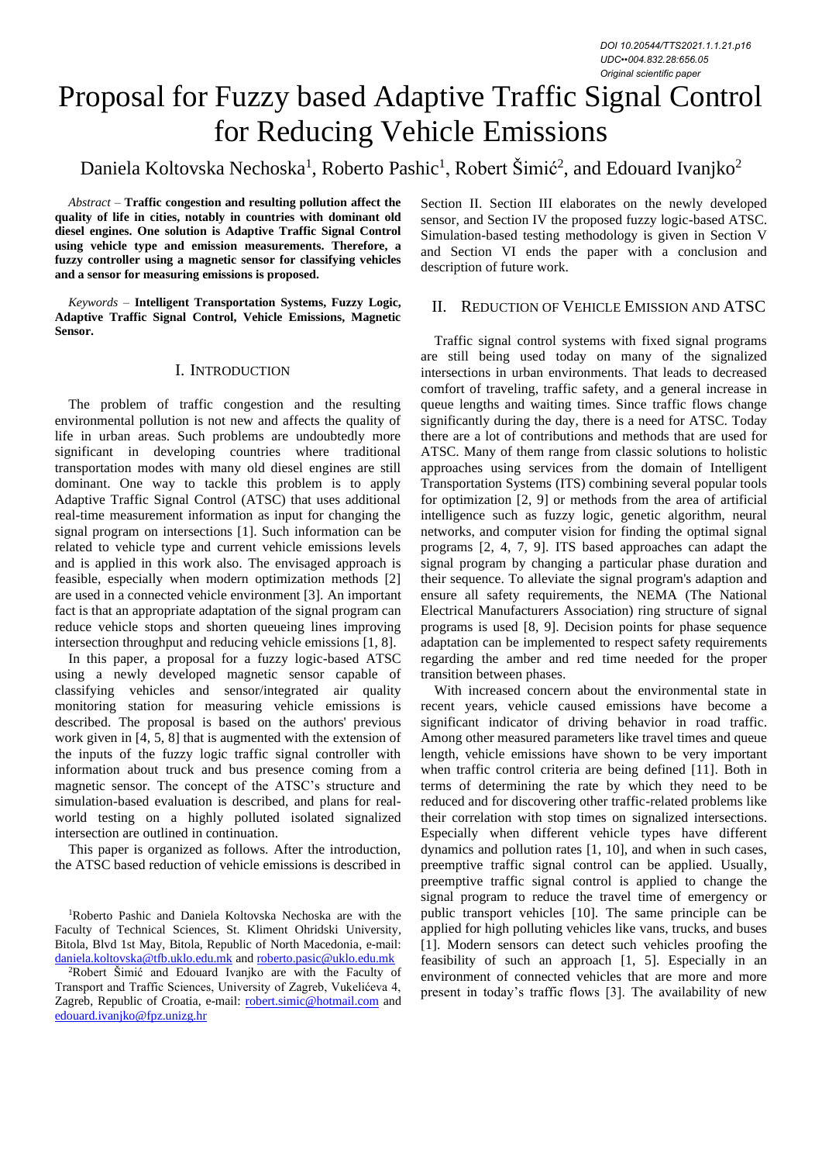# Proposal for Fuzzy based Adaptive Traffic Signal Control for Reducing Vehicle Emissions

Daniela Koltovska Nechoska<sup>1</sup>, Roberto Pashic<sup>1</sup>, Robert Šimić<sup>2</sup>, and Edouard Ivanjko<sup>2</sup>

*Abstract –* **Traffic congestion and resulting pollution affect the quality of life in cities, notably in countries with dominant old diesel engines. One solution is Adaptive Traffic Signal Control using vehicle type and emission measurements. Therefore, a fuzzy controller using a magnetic sensor for classifying vehicles and a sensor for measuring emissions is proposed.** 

*Keywords –* **Intelligent Transportation Systems, Fuzzy Logic, Adaptive Traffic Signal Control, Vehicle Emissions, Magnetic Sensor.**

### I. INTRODUCTION

The problem of traffic congestion and the resulting environmental pollution is not new and affects the quality of life in urban areas. Such problems are undoubtedly more significant in developing countries where traditional transportation modes with many old diesel engines are still dominant. One way to tackle this problem is to apply Adaptive Traffic Signal Control (ATSC) that uses additional real-time measurement information as input for changing the signal program on intersections [1]. Such information can be related to vehicle type and current vehicle emissions levels and is applied in this work also. The envisaged approach is feasible, especially when modern optimization methods [2] are used in a connected vehicle environment [3]. An important fact is that an appropriate adaptation of the signal program can reduce vehicle stops and shorten queueing lines improving intersection throughput and reducing vehicle emissions [1, 8].

In this paper, a proposal for a fuzzy logic-based ATSC using a newly developed magnetic sensor capable of classifying vehicles and sensor/integrated air quality monitoring station for measuring vehicle emissions is described. The proposal is based on the authors' previous work given in [4, 5, 8] that is augmented with the extension of the inputs of the fuzzy logic traffic signal controller with information about truck and bus presence coming from a magnetic sensor. The concept of the ATSC's structure and simulation-based evaluation is described, and plans for realworld testing on a highly polluted isolated signalized intersection are outlined in continuation.

This paper is organized as follows. After the introduction, the ATSC based reduction of vehicle emissions is described in Section II. Section III elaborates on the newly developed sensor, and Section IV the proposed fuzzy logic-based ATSC. Simulation-based testing methodology is given in Section V and Section VI ends the paper with a conclusion and description of future work.

# II. REDUCTION OF VEHICLE EMISSION AND ATSC

Traffic signal control systems with fixed signal programs are still being used today on many of the signalized intersections in urban environments. That leads to decreased comfort of traveling, traffic safety, and a general increase in queue lengths and waiting times. Since traffic flows change significantly during the day, there is a need for ATSC. Today there are a lot of contributions and methods that are used for ATSC. Many of them range from classic solutions to holistic approaches using services from the domain of Intelligent Transportation Systems (ITS) combining several popular tools for optimization [2, 9] or methods from the area of artificial intelligence such as fuzzy logic, genetic algorithm, neural networks, and computer vision for finding the optimal signal programs [2, 4, 7, 9]. ITS based approaches can adapt the signal program by changing a particular phase duration and their sequence. To alleviate the signal program's adaption and ensure all safety requirements, the NEMA (The National Electrical Manufacturers Association) ring structure of signal programs is used [8, 9]. Decision points for phase sequence adaptation can be implemented to respect safety requirements regarding the amber and red time needed for the proper transition between phases.

With increased concern about the environmental state in recent years, vehicle caused emissions have become a significant indicator of driving behavior in road traffic. Among other measured parameters like travel times and queue length, vehicle emissions have shown to be very important when traffic control criteria are being defined [11]. Both in terms of determining the rate by which they need to be reduced and for discovering other traffic-related problems like their correlation with stop times on signalized intersections. Especially when different vehicle types have different dynamics and pollution rates [1, 10], and when in such cases, preemptive traffic signal control can be applied. Usually, preemptive traffic signal control is applied to change the signal program to reduce the travel time of emergency or public transport vehicles [10]. The same principle can be applied for high polluting vehicles like vans, trucks, and buses [1]. Modern sensors can detect such vehicles proofing the feasibility of such an approach [1, 5]. Especially in an environment of connected vehicles that are more and more present in today's traffic flows [3]. The availability of new

<sup>1</sup>Roberto Pashic and Daniela Koltovska Nechoska are with the Faculty of Technical Sciences, St. Kliment Ohridski University, Bitola, Blvd 1st May, Bitola, Republic of North Macedonia, e-mail: [daniela.koltovska@tfb.uklo.edu.mk](mailto:daniela.koltovska@tfb.uklo.edu.mk) and [roberto.pasic@uklo.edu.mk](mailto:roberto.pasic@uklo.edu.mk)

<sup>2</sup>Robert Šimić and Edouard Ivanjko are with the Faculty of Transport and Traffic Sciences, University of Zagreb, Vukelićeva 4, Zagreb, Republic of Croatia, e-mail: **robert.simic@hotmail.com** and [edouard.ivanjko@fpz.unizg.hr](mailto:edouard.ivanjko@fpz.unizg.hr)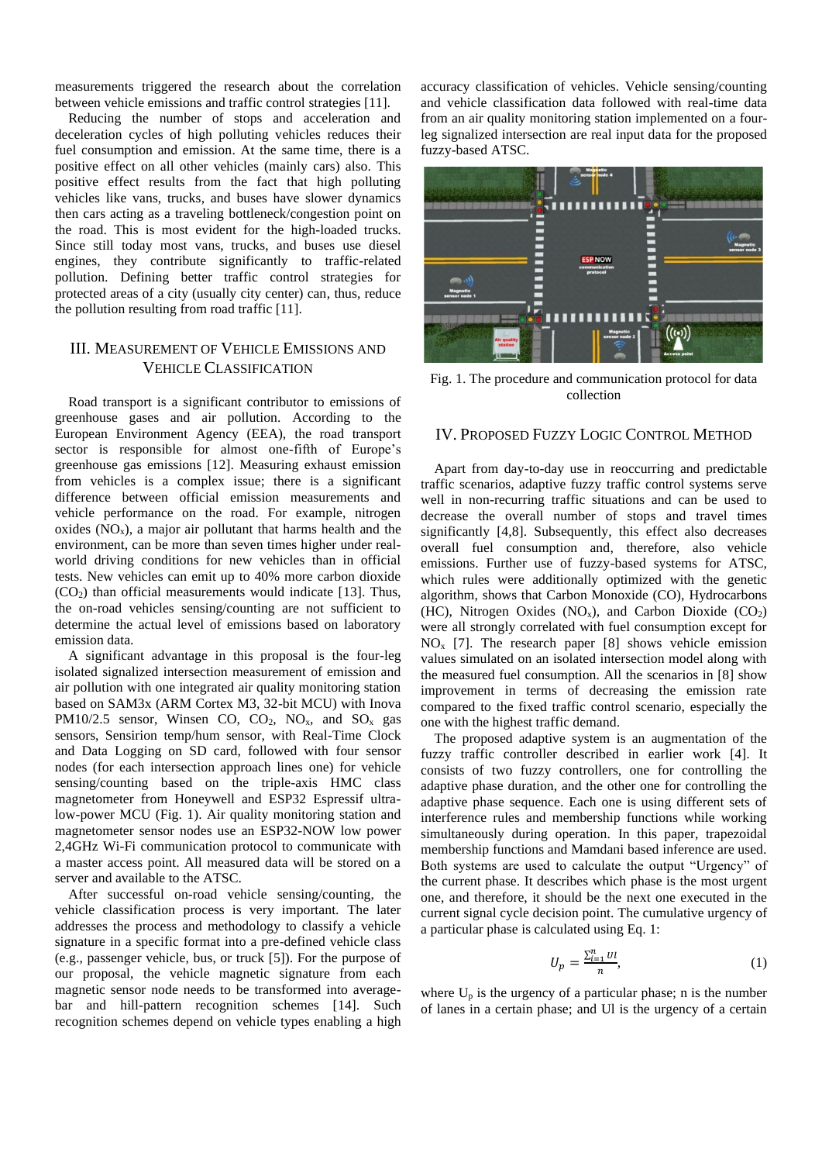measurements triggered the research about the correlation between vehicle emissions and traffic control strategies [11].

Reducing the number of stops and acceleration and deceleration cycles of high polluting vehicles reduces their fuel consumption and emission. At the same time, there is a positive effect on all other vehicles (mainly cars) also. This positive effect results from the fact that high polluting vehicles like vans, trucks, and buses have slower dynamics then cars acting as a traveling bottleneck/congestion point on the road. This is most evident for the high-loaded trucks. Since still today most vans, trucks, and buses use diesel engines, they contribute significantly to traffic-related pollution. Defining better traffic control strategies for protected areas of a city (usually city center) can, thus, reduce the pollution resulting from road traffic [11].

# III. MEASUREMENT OF VEHICLE EMISSIONS AND VEHICLE CLASSIFICATION

Road transport is a significant contributor to emissions of greenhouse gases and air pollution. According to the European Environment Agency (EEA), the road transport sector is responsible for almost one-fifth of Europe's greenhouse gas emissions [12]. Measuring exhaust emission from vehicles is a complex issue; there is a significant difference between official emission measurements and vehicle performance on the road. For example, nitrogen oxides  $(NO_x)$ , a major air pollutant that harms health and the environment, can be more than seven times higher under realworld driving conditions for new vehicles than in official tests. New vehicles can emit up to 40% more carbon dioxide  $(CO<sub>2</sub>)$  than official measurements would indicate [13]. Thus, the on-road vehicles sensing/counting are not sufficient to determine the actual level of emissions based on laboratory emission data.

A significant advantage in this proposal is the four-leg isolated signalized intersection measurement of emission and air pollution with one integrated air quality monitoring station based on SAM3x (ARM Cortex M3, 32-bit MCU) with Inova PM10/2.5 sensor, Winsen CO,  $CO_2$ ,  $NO_x$ , and  $SO_x$  gas sensors, Sensirion temp/hum sensor, with Real-Time Clock and Data Logging on SD card, followed with four sensor nodes (for each intersection approach lines one) for vehicle sensing/counting based on the triple-axis HMC class magnetometer from Honeywell and ESP32 Espressif ultralow-power MCU (Fig. 1). Air quality monitoring station and magnetometer sensor nodes use an ESP32-NOW low power 2,4GHz Wi-Fi communication protocol to communicate with a master access point. All measured data will be stored on a server and available to the ATSC.

After successful on-road vehicle sensing/counting, the vehicle classification process is very important. The later addresses the process and methodology to classify a vehicle signature in a specific format into a pre-defined vehicle class (e.g., passenger vehicle, bus, or truck [5]). For the purpose of our proposal, the vehicle magnetic signature from each magnetic sensor node needs to be transformed into averagebar and hill-pattern recognition schemes [14]. Such recognition schemes depend on vehicle types enabling a high accuracy classification of vehicles. Vehicle sensing/counting and vehicle classification data followed with real-time data from an air quality monitoring station implemented on a fourleg signalized intersection are real input data for the proposed fuzzy-based ATSC.



Fig. 1. The procedure and communication protocol for data collection

# IV. PROPOSED FUZZY LOGIC CONTROL METHOD

Apart from day-to-day use in reoccurring and predictable traffic scenarios, adaptive fuzzy traffic control systems serve well in non-recurring traffic situations and can be used to decrease the overall number of stops and travel times significantly [4,8]. Subsequently, this effect also decreases overall fuel consumption and, therefore, also vehicle emissions. Further use of fuzzy-based systems for ATSC, which rules were additionally optimized with the genetic algorithm, shows that Carbon Monoxide (CO), Hydrocarbons (HC), Nitrogen Oxides ( $NO<sub>x</sub>$ ), and Carbon Dioxide ( $CO<sub>2</sub>$ ) were all strongly correlated with fuel consumption except for  $NO<sub>x</sub>$  [7]. The research paper [8] shows vehicle emission values simulated on an isolated intersection model along with the measured fuel consumption. All the scenarios in [8] show improvement in terms of decreasing the emission rate compared to the fixed traffic control scenario, especially the one with the highest traffic demand.

The proposed adaptive system is an augmentation of the fuzzy traffic controller described in earlier work [4]. It consists of two fuzzy controllers, one for controlling the adaptive phase duration, and the other one for controlling the adaptive phase sequence. Each one is using different sets of interference rules and membership functions while working simultaneously during operation. In this paper, trapezoidal membership functions and Mamdani based inference are used. Both systems are used to calculate the output "Urgency" of the current phase. It describes which phase is the most urgent one, and therefore, it should be the next one executed in the current signal cycle decision point. The cumulative urgency of a particular phase is calculated using Eq. 1:

$$
U_p = \frac{\sum_{i=1}^n U l}{n},\tag{1}
$$

where  $U_p$  is the urgency of a particular phase; n is the number of lanes in a certain phase; and Ul is the urgency of a certain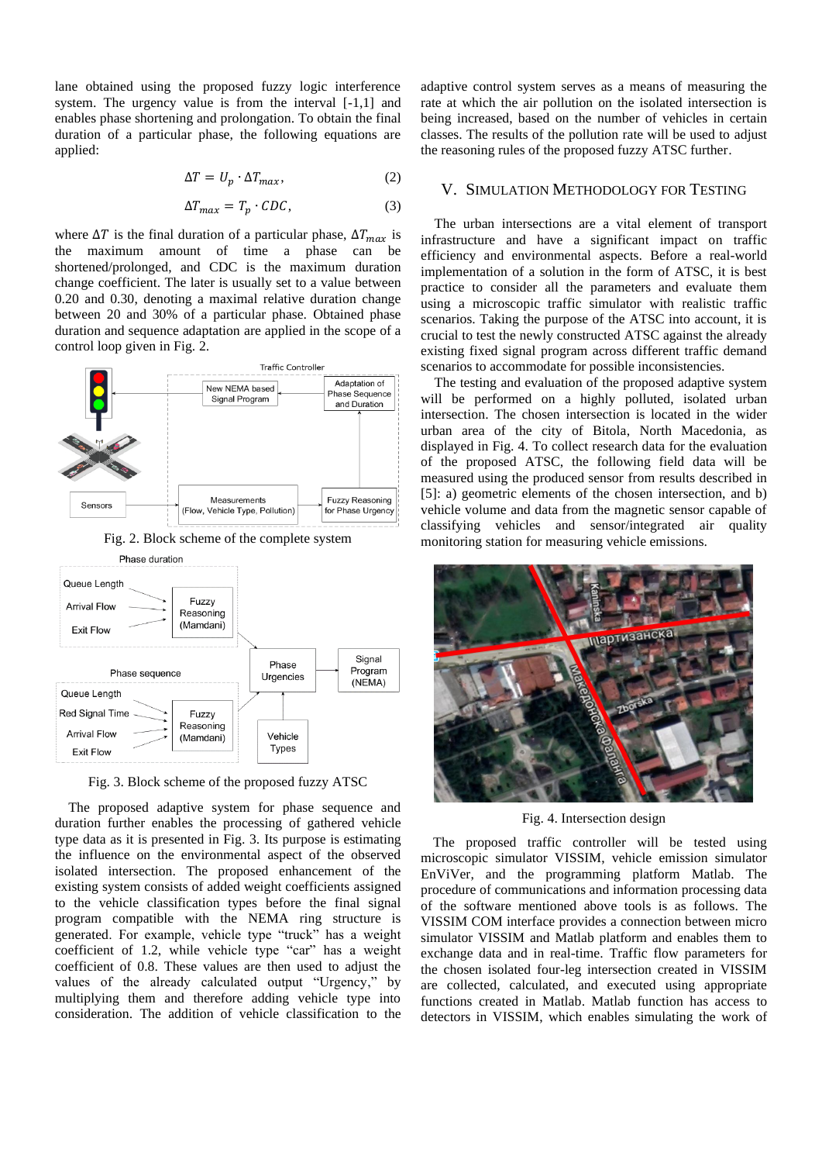lane obtained using the proposed fuzzy logic interference system. The urgency value is from the interval [-1,1] and enables phase shortening and prolongation. To obtain the final duration of a particular phase, the following equations are applied:

$$
\Delta T = U_p \cdot \Delta T_{max},\tag{2}
$$

$$
\Delta T_{max} = T_p \cdot CDC,\tag{3}
$$

where  $\Delta T$  is the final duration of a particular phase,  $\Delta T_{max}$  is the maximum amount of time a phase can be shortened/prolonged, and CDC is the maximum duration change coefficient. The later is usually set to a value between 0.20 and 0.30, denoting a maximal relative duration change between 20 and 30% of a particular phase. Obtained phase duration and sequence adaptation are applied in the scope of a control loop given in Fig. 2.







Fig. 3. Block scheme of the proposed fuzzy ATSC

The proposed adaptive system for phase sequence and duration further enables the processing of gathered vehicle type data as it is presented in Fig. 3. Its purpose is estimating the influence on the environmental aspect of the observed isolated intersection. The proposed enhancement of the existing system consists of added weight coefficients assigned to the vehicle classification types before the final signal program compatible with the NEMA ring structure is generated. For example, vehicle type "truck" has a weight coefficient of 1.2, while vehicle type "car" has a weight coefficient of 0.8. These values are then used to adjust the values of the already calculated output "Urgency," by multiplying them and therefore adding vehicle type into consideration. The addition of vehicle classification to the

adaptive control system serves as a means of measuring the rate at which the air pollution on the isolated intersection is being increased, based on the number of vehicles in certain classes. The results of the pollution rate will be used to adjust the reasoning rules of the proposed fuzzy ATSC further.

## V. SIMULATION METHODOLOGY FOR TESTING

The urban intersections are a vital element of transport infrastructure and have a significant impact on traffic efficiency and environmental aspects. Before a real-world implementation of a solution in the form of ATSC, it is best practice to consider all the parameters and evaluate them using a microscopic traffic simulator with realistic traffic scenarios. Taking the purpose of the ATSC into account, it is crucial to test the newly constructed ATSC against the already existing fixed signal program across different traffic demand scenarios to accommodate for possible inconsistencies.

The testing and evaluation of the proposed adaptive system will be performed on a highly polluted, isolated urban intersection. The chosen intersection is located in the wider urban area of the city of Bitola, North Macedonia, as displayed in Fig. 4. To collect research data for the evaluation of the proposed ATSC, the following field data will be measured using the produced sensor from results described in [5]: a) geometric elements of the chosen intersection, and b) vehicle volume and data from the magnetic sensor capable of classifying vehicles and sensor/integrated air quality monitoring station for measuring vehicle emissions.



Fig. 4. Intersection design

The proposed traffic controller will be tested using microscopic simulator VISSIM, vehicle emission simulator EnViVer, and the programming platform Matlab. The procedure of communications and information processing data of the software mentioned above tools is as follows. The VISSIM COM interface provides a connection between micro simulator VISSIM and Matlab platform and enables them to exchange data and in real-time. Traffic flow parameters for the chosen isolated four-leg intersection created in VISSIM are collected, calculated, and executed using appropriate functions created in Matlab. Matlab function has access to detectors in VISSIM, which enables simulating the work of